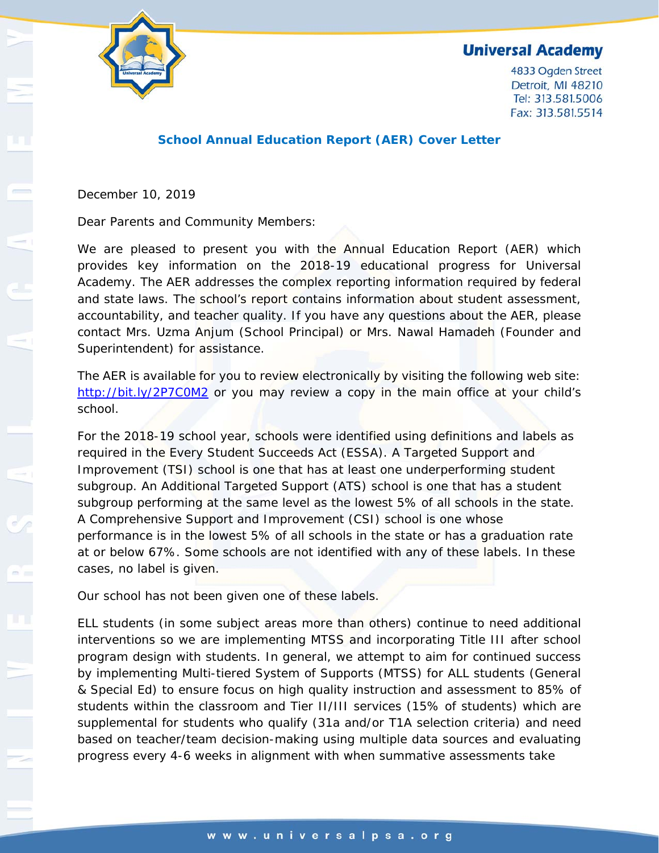

4833 Ogden Street Detroit, MI 48210 Tel: 313.581.5006 Fax: 313.581.5514

#### **School Annual Education Report (AER) Cover Letter**

December 10, 2019

Dear Parents and Community Members:

We are pleased to present you with the Annual Education Report (AER) which provides key information on the 2018-19 educational progress for Universal Academy. The AER addresses the complex reporting information required by federal and state laws. The school's report contains information about student assessment, accountability, and teacher quality. If you have any questions about the AER, please contact Mrs. Uzma Anjum (School Principal) or Mrs. Nawal Hamadeh (Founder and Superintendent) for assistance.

The AER is available for you to review electronically by visiting the following web site: http://bit.ly/2P7C0M2 or you may review a copy in the main office at your child's school.

For the 2018-19 school year, schools were identified using definitions and labels as required in the Every Student Succeeds Act (ESSA). A Targeted Support and Improvement (TSI) school is one that has at least one underperforming student subgroup. An Additional Targeted Support (ATS) school is one that has a student subgroup performing at the same level as the lowest 5% of all schools in the state. A Comprehensive Support and Improvement (CSI) school is one whose performance is in the lowest 5% of all schools in the state or has a graduation rate at or below 67%. Some schools are not identified with any of these labels. In these cases, no label is given.

Our school has not been given one of these labels.

ELL students (in some subject areas more than others) continue to need additional interventions so we are implementing MTSS and incorporating Title III after school program design with students. In general, we attempt to aim for continued success by implementing Multi-tiered System of Supports (MTSS) for ALL students (General & Special Ed) to ensure focus on high quality instruction and assessment to 85% of students within the classroom and Tier II/III services (15% of students) which are supplemental for students who qualify (31a and/or T1A selection criteria) and need based on teacher/team decision-making using multiple data sources and evaluating progress every 4-6 weeks in alignment with when summative assessments take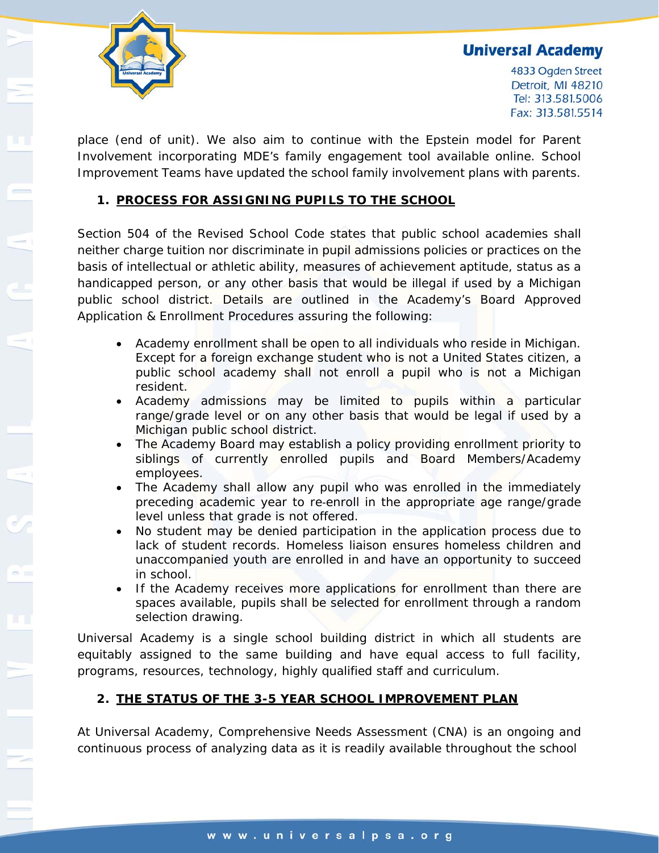



4833 Ogden Street Detroit, MI 48210 Tel: 313.581.5006 Fax: 313.581.5514

place (end of unit). We also aim to continue with the Epstein model for Parent Involvement incorporating MDE's family engagement tool available online. School Improvement Teams have updated the school family involvement plans with parents.

### **1. PROCESS FOR ASSIGNING PUPILS TO THE SCHOOL**

Section 504 of the Revised School Code states that public school academies shall neither charge tuition nor discriminate in pupil admissions policies or practices on the basis of intellectual or athletic ability, measures of achievement aptitude, status as a handicapped person, or any other basis that would be illegal if used by a Michigan public school district. Details are outlined in the Academy's Board Approved Application & Enrollment Procedures assuring the following:

- Academy enrollment shall be open to all individuals who reside in Michigan. Except for a foreign exchange student who is not a United States citizen, a public school academy shall not enroll a pupil who is not a Michigan resident.
- Academy admissions may be limited to pupils within a particular range/grade level or on any other basis that would be legal if used by a Michigan public school district.
- The Academy Board may establish a policy providing enrollment priority to siblings of currently enrolled pupils and Board Members/Academy employees.
- The Academy shall allow any pupil who was enrolled in the immediately preceding academic year to re-enroll in the appropriate age range/grade level unless that grade is not offered.
- No student may be denied participation in the application process due to lack of student records. Homeless liaison ensures homeless children and unaccompanied youth are enrolled in and have an opportunity to succeed in school.
- If the Academy receives more applications for enrollment than there are spaces available, pupils shall be selected for enrollment through a random selection drawing.

Universal Academy is a single school building district in which all students are equitably assigned to the same building and have equal access to full facility, programs, resources, technology, highly qualified staff and curriculum.

## **2. THE STATUS OF THE 3-5 YEAR SCHOOL IMPROVEMENT PLAN**

At Universal Academy, Comprehensive Needs Assessment (CNA) is an ongoing and continuous process of analyzing data as it is readily available throughout the school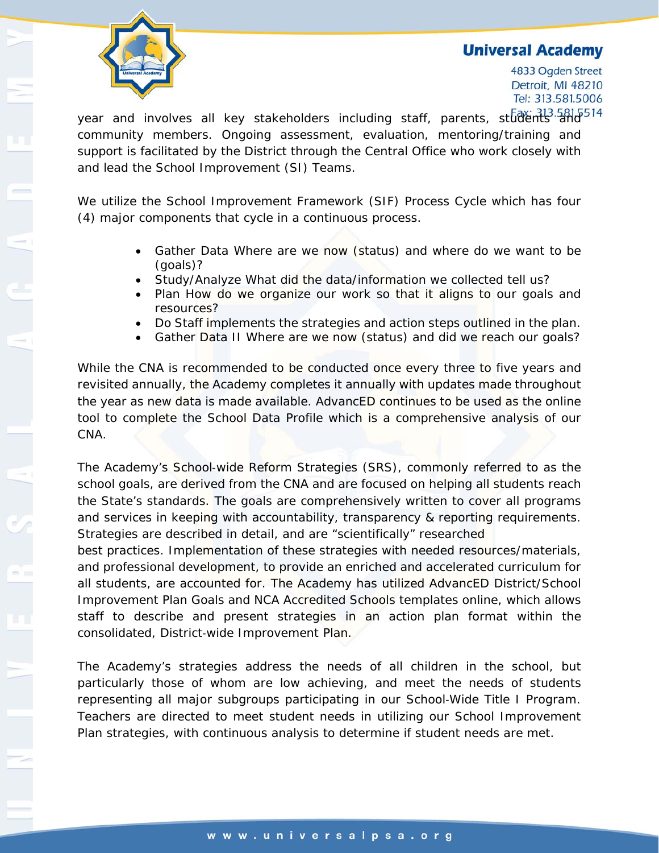

4833 Ogden Street Detroit, MI 48210 Tel: 313.581.5006

year and involves all key stakeholders including staff, parents, students and community members. Ongoing assessment, evaluation, mentoring/training and support is facilitated by the District through the Central Office who work closely with and lead the School Improvement (SI) Teams.

We utilize the School Improvement Framework (SIF) Process Cycle which has four (4) major components that cycle in a continuous process.

- Gather Data Where are we now (status) and where do we want to be (goals)?
- Study/Analyze What did the data/information we collected tell us?
- Plan How do we organize our work so that it aligns to our goals and resources?
- Do Staff implements the strategies and action steps outlined in the plan.
- Gather Data II Where are we now (status) and did we reach our goals?

While the CNA is recommended to be conducted once every three to five years and revisited annually, the Academy completes it annually with updates made throughout the year as new data is made available. AdvancED continues to be used as the online tool to complete the School Data Profile which is a comprehensive analysis of our CNA.

The Academy's School-wide Reform Strategies (SRS), commonly referred to as the school goals, are derived from the CNA and are focused on helping all students reach the State's standards. The goals are comprehensively written to cover all programs and services in keeping with accountability, transparency & reporting requirements. Strategies are described in detail, and are "scientifically" researched

best practices. Implementation of these strategies with needed resources/materials, and professional development, to provide an enriched and accelerated curriculum for all students, are accounted for. The Academy has utilized AdvancED District/School Improvement Plan Goals and NCA Accredited Schools templates online, which allows staff to describe and present strategies in an action plan format within the consolidated, District-wide Improvement Plan.

The Academy's strategies address the needs of all children in the school, but particularly those of whom are low achieving, and meet the needs of students representing all major subgroups participating in our School-Wide Title I Program. Teachers are directed to meet student needs in utilizing our School Improvement Plan strategies, with continuous analysis to determine if student needs are met.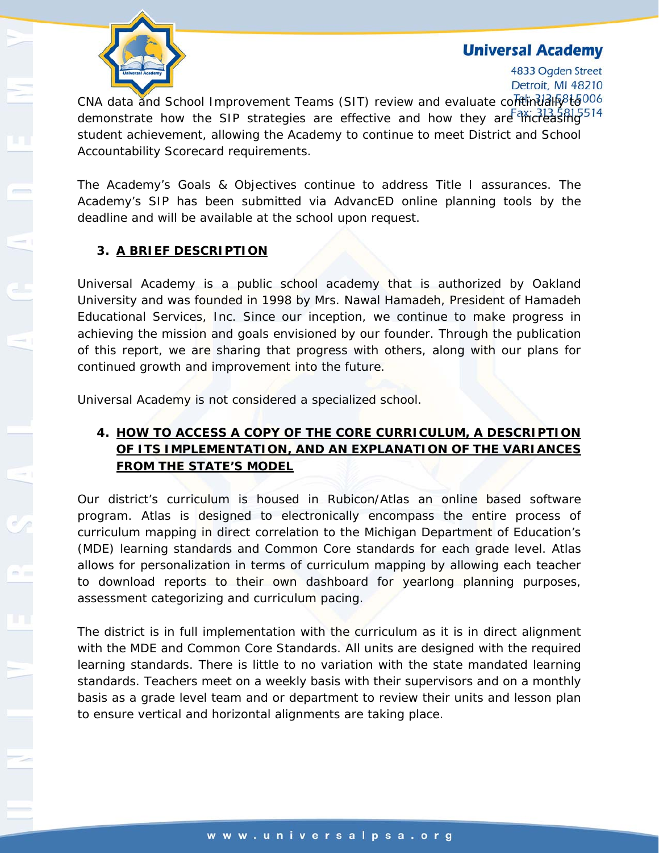4833 Ogden Street



Detroit, MI 48210 CNA data and School Improvement Teams (SIT) review and evaluate contrinually to demonstrate how the SIP strategies are effective and how they are increasing student achievement, allowing the Academy to continue to meet District and School Accountability Scorecard requirements.

The Academy's Goals & Objectives continue to address Title I assurances. The Academy's SIP has been submitted via AdvancED online planning tools by the deadline and will be available at the school upon request.

#### **3. A BRIEF DESCRIPTION**

Universal Academy is a public school academy that is authorized by Oakland University and was founded in 1998 by Mrs. Nawal Hamadeh, President of Hamadeh Educational Services, Inc. Since our inception, we continue to make progress in achieving the mission and goals envisioned by our founder. Through the publication of this report, we are sharing that progress with others, along with our plans for continued growth and improvement into the future.

Universal Academy is not considered a specialized school.

## **4. HOW TO ACCESS A COPY OF THE CORE CURRICULUM, A DESCRIPTION OF ITS IMPLEMENTATION, AND AN EXPLANATION OF THE VARIANCES FROM THE STATE'S MODEL**

Our district's curriculum is housed in Rubicon/Atlas an online based software program. Atlas is designed to electronically encompass the entire process of curriculum mapping in direct correlation to the Michigan Department of Education's (MDE) learning standards and Common Core standards for each grade level. Atlas allows for personalization in terms of curriculum mapping by allowing each teacher to download reports to their own dashboard for yearlong planning purposes, assessment categorizing and curriculum pacing.

The district is in full implementation with the curriculum as it is in direct alignment with the MDE and Common Core Standards. All units are designed with the required learning standards. There is little to no variation with the state mandated learning standards. Teachers meet on a weekly basis with their supervisors and on a monthly basis as a grade level team and or department to review their units and lesson plan to ensure vertical and horizontal alignments are taking place.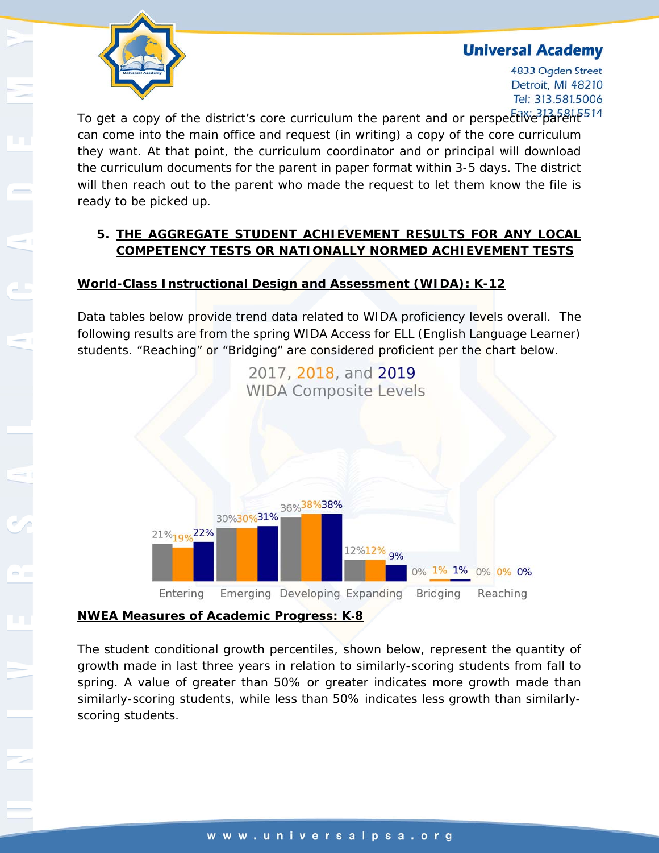

4833 Ogden Street Detroit, MI 48210 Tel: 313.581.5006

To get a copy of the district's core curriculum the parent and or perspective  $\frac{313}{60}$   $\frac{531}{60}$ can come into the main office and request (in writing) a copy of the core curriculum they want. At that point, the curriculum coordinator and or principal will download the curriculum documents for the parent in paper format within 3-5 days. The district will then reach out to the parent who made the request to let them know the file is ready to be picked up.

## **5. THE AGGREGATE STUDENT ACHIEVEMENT RESULTS FOR ANY LOCAL COMPETENCY TESTS OR NATIONALLY NORMED ACHIEVEMENT TESTS**

## **World-Class Instructional Design and Assessment (WIDA): K-12**

Data tables below provide trend data related to WIDA proficiency levels overall. The following results are from the spring WIDA Access for ELL (English Language Learner) students. "Reaching" or "Bridging" are considered proficient per the chart below.

![](_page_4_Figure_7.jpeg)

#### **NWEA Measures of Academic Progress: K**-**8**

The student conditional growth percentiles, shown below, represent the quantity of growth made in last three years in relation to similarly-scoring students from fall to spring. A value of greater than 50% or greater indicates more growth made than similarly-scoring students, while less than 50% indicates less growth than similarlyscoring students.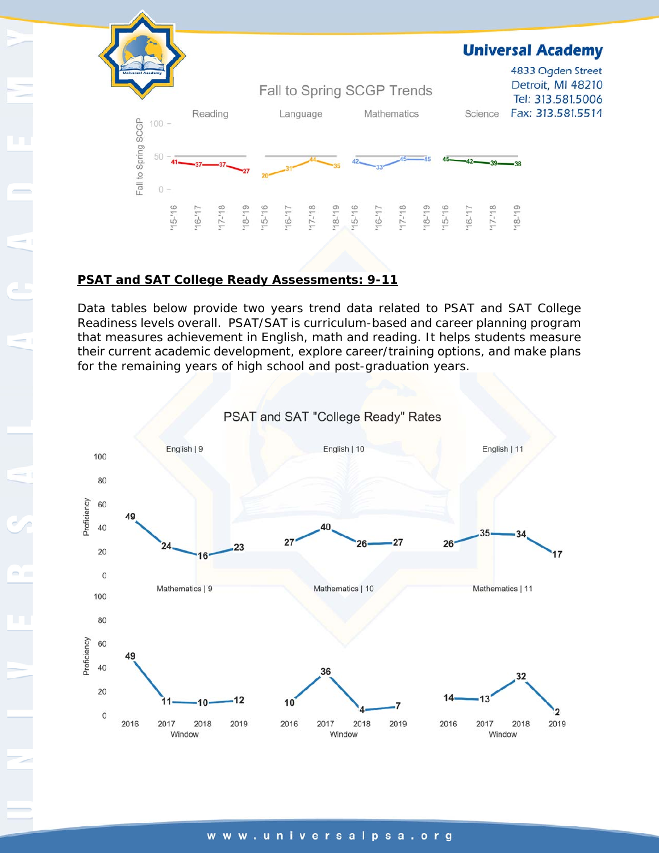![](_page_5_Figure_1.jpeg)

## **PSAT and SAT College Ready Assessments: 9-11**

Data tables below provide two years trend data related to PSAT and SAT College Readiness levels overall. PSAT/SAT is curriculum-based and career planning program that measures achievement in English, math and reading. It helps students measure their current academic development, explore career/training options, and make plans for the remaining years of high school and post-graduation years.

![](_page_5_Figure_4.jpeg)

## PSAT and SAT "College Ready" Rates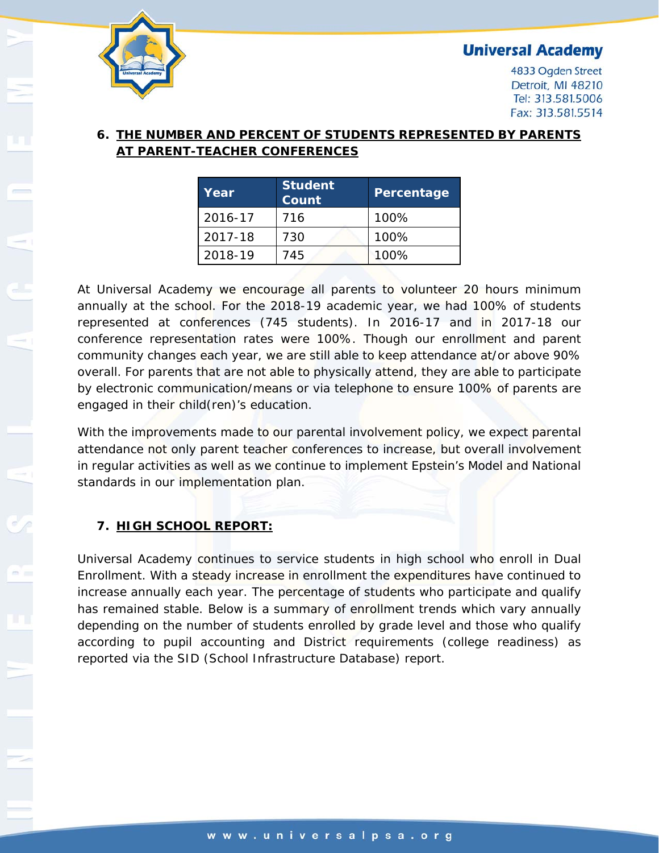![](_page_6_Picture_0.jpeg)

4833 Ogden Street Detroit, MI 48210 Tel: 313.581.5006 Fax: 313.581.5514

#### **6. THE NUMBER AND PERCENT OF STUDENTS REPRESENTED BY PARENTS AT PARENT-TEACHER CONFERENCES**

| Year    | <b>Student</b><br>Count | <b>Percentage</b> |
|---------|-------------------------|-------------------|
| 2016-17 | 716                     | 100%              |
| 2017-18 | 730                     | 100%              |
| 2018-19 | 745                     | $100\%$           |

At Universal Academy we encourage all parents to volunteer 20 hours minimum annually at the school. For the 2018-19 academic year, we had 100% of students represented at conferences (745 students). In 2016-17 and in 2017-18 our conference representation rates were 100%. Though our enrollment and parent community changes each year, we are still able to keep attendance at/or above 90% overall. For parents that are not able to physically attend, they are able to participate by electronic communication/means or via telephone to ensure 100% of parents are engaged in their child(ren)'s education.

With the improvements made to our parental involvement policy, we expect parental attendance not only parent teacher conferences to increase, but overall involvement in regular activities as well as we continue to implement Epstein's Model and National standards in our implementation plan.

#### **7. HIGH SCHOOL REPORT:**

Universal Academy continues to service students in high school who enroll in Dual Enrollment. With a steady increase in enrollment the expenditures have continued to increase annually each year. The percentage of students who participate and qualify has remained stable. Below is a summary of enrollment trends which vary annually depending on the number of students enrolled by grade level and those who qualify according to pupil accounting and District requirements (college readiness) as reported via the SID (School Infrastructure Database) report.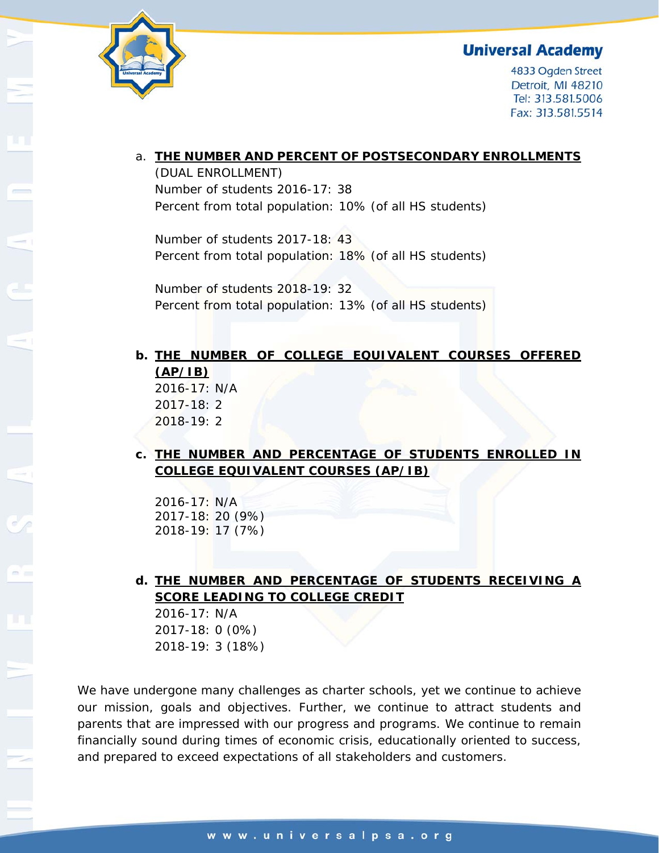![](_page_7_Picture_0.jpeg)

![](_page_7_Picture_1.jpeg)

4833 Ogden Street Detroit, MI 48210 Tel: 313.581.5006 Fax: 313.581.5514

#### a. **THE NUMBER AND PERCENT OF POSTSECONDARY ENROLLMENTS**

(DUAL ENROLLMENT) Number of students 2016-17: 38 Percent from total population: 10% (of all HS students)

Number of students 2017-18: 43 Percent from total population: 18% (of all HS students)

Number of students 2018-19: 32 Percent from total population: 13% (of all HS students)

## **b. THE NUMBER OF COLLEGE EQUIVALENT COURSES OFFERED (AP/IB)**  2016-17: N/A 2017-18: 2 2018-19: 2

**c. THE NUMBER AND PERCENTAGE OF STUDENTS ENROLLED IN COLLEGE EQUIVALENT COURSES (AP/IB)** 

2016-17: N/A 2017-18: 20 (9%) 2018-19: 17 (7%)

**d. THE NUMBER AND PERCENTAGE OF STUDENTS RECEIVING A SCORE LEADING TO COLLEGE CREDIT** 

2016-17: N/A 2017-18: 0 (0%) 2018-19: 3 (18%)

We have undergone many challenges as charter schools, yet we continue to achieve our mission, goals and objectives. Further, we continue to attract students and parents that are impressed with our progress and programs. We continue to remain financially sound during times of economic crisis, educationally oriented to success, and prepared to exceed expectations of all stakeholders and customers.